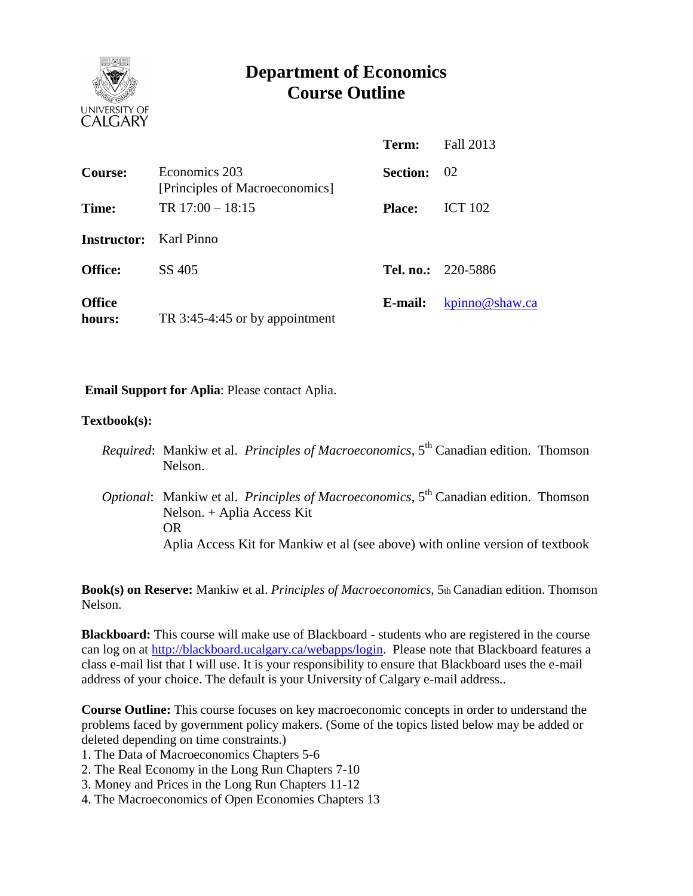

# **Department of Economics Course Outline**

|                               |                                                 | Term:              | <b>Fall 2013</b>          |
|-------------------------------|-------------------------------------------------|--------------------|---------------------------|
| Course:                       | Economics 203<br>[Principles of Macroeconomics] | <b>Section:</b> 02 |                           |
| Time:                         | TR $17:00 - 18:15$                              | <b>Place:</b>      | <b>ICT 102</b>            |
| <b>Instructor:</b> Karl Pinno |                                                 |                    |                           |
| <b>Office:</b>                | SS 405                                          |                    | <b>Tel. no.:</b> 220-5886 |
| <b>Office</b><br>hours:       | TR 3:45-4:45 or by appointment                  | E-mail:            | kpinno@shaw.ca            |

**Email Support for Aplia**: Please contact Aplia.

#### **Textbook(s):**

- *Required*: Mankiw et al. *Principles of Macroeconomics*, 5<sup>th</sup> Canadian edition. Thomson Nelson.
- *Optional:* Mankiw et al. *Principles of Macroeconomics*, 5<sup>th</sup> Canadian edition. Thomson Nelson. + Aplia Access Kit OR Aplia Access Kit for Mankiw et al (see above) with online version of textbook

**Book(s) on Reserve:** Mankiw et al. *Principles of Macroeconomics*, 5th Canadian edition. Thomson Nelson.

**Blackboard:** This course will make use of Blackboard - students who are registered in the course can log on at [http://blackboard.ucalgary.ca/webapps/login.](http://blackboard.ucalgary.ca/webapps/login) Please note that Blackboard features a class e-mail list that I will use. It is your responsibility to ensure that Blackboard uses the e-mail address of your choice. The default is your University of Calgary e-mail address..

**Course Outline:** This course focuses on key macroeconomic concepts in order to understand the problems faced by government policy makers. (Some of the topics listed below may be added or deleted depending on time constraints.)

1. The Data of Macroeconomics Chapters 5-6

- 2. The Real Economy in the Long Run Chapters 7-10
- 3. Money and Prices in the Long Run Chapters 11-12
- 4. The Macroeconomics of Open Economies Chapters 13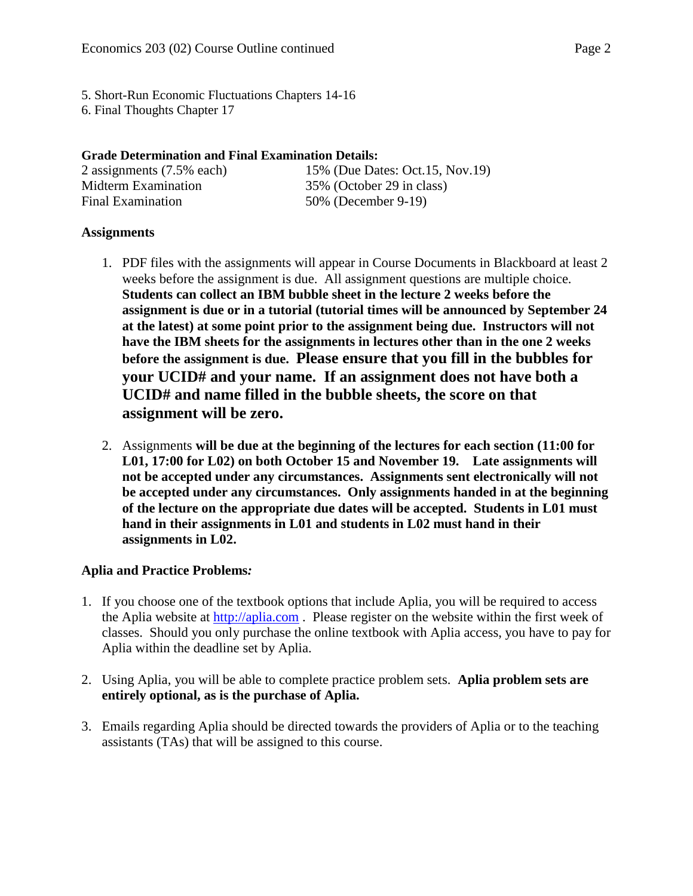5. Short-Run Economic Fluctuations Chapters 14-16 6. Final Thoughts Chapter 17

### **Grade Determination and Final Examination Details:**

| 2 assignments (7.5% each) | 15% (Due Dates: Oct.15, Nov.19) |
|---------------------------|---------------------------------|
| Midterm Examination       | 35% (October 29 in class)       |
| Final Examination         | 50% (December 9-19)             |

#### **Assignments**

- 1. PDF files with the assignments will appear in Course Documents in Blackboard at least 2 weeks before the assignment is due. All assignment questions are multiple choice. **Students can collect an IBM bubble sheet in the lecture 2 weeks before the assignment is due or in a tutorial (tutorial times will be announced by September 24 at the latest) at some point prior to the assignment being due. Instructors will not have the IBM sheets for the assignments in lectures other than in the one 2 weeks before the assignment is due. Please ensure that you fill in the bubbles for your UCID# and your name. If an assignment does not have both a UCID# and name filled in the bubble sheets, the score on that assignment will be zero.**
- 2. Assignments **will be due at the beginning of the lectures for each section (11:00 for L01, 17:00 for L02) on both October 15 and November 19. Late assignments will not be accepted under any circumstances. Assignments sent electronically will not be accepted under any circumstances. Only assignments handed in at the beginning of the lecture on the appropriate due dates will be accepted. Students in L01 must hand in their assignments in L01 and students in L02 must hand in their assignments in L02.**

## **Aplia and Practice Problems***:*

- 1. If you choose one of the textbook options that include Aplia, you will be required to access the Aplia website at [http://aplia.com](http://aplia.com/) . Please register on the website within the first week of classes. Should you only purchase the online textbook with Aplia access, you have to pay for Aplia within the deadline set by Aplia.
- 2. Using Aplia, you will be able to complete practice problem sets. **Aplia problem sets are entirely optional, as is the purchase of Aplia.**
- 3. Emails regarding Aplia should be directed towards the providers of Aplia or to the teaching assistants (TAs) that will be assigned to this course.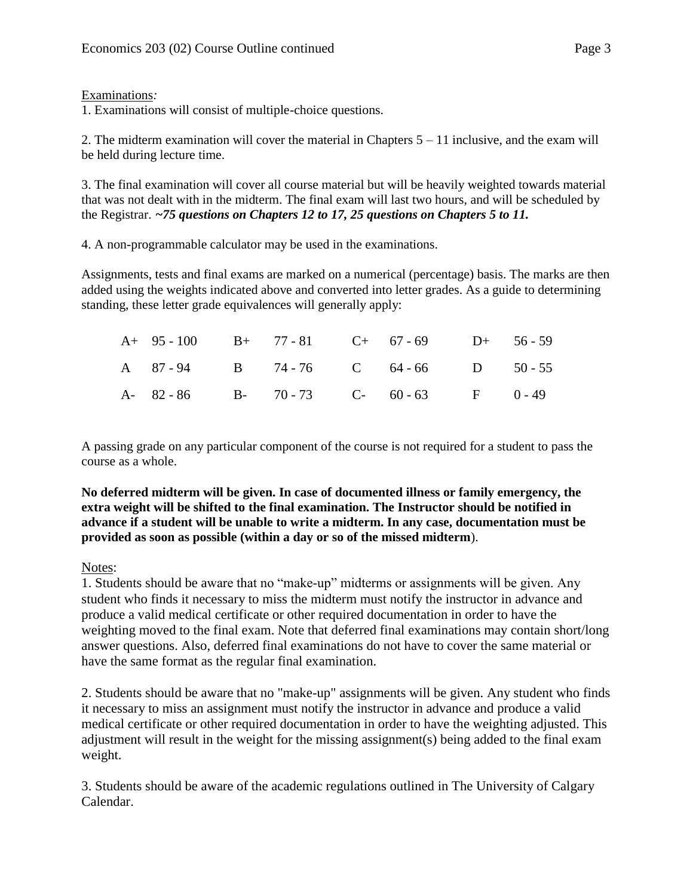Examinations*:* 

1. Examinations will consist of multiple-choice questions.

2. The midterm examination will cover the material in Chapters  $5 - 11$  inclusive, and the exam will be held during lecture time.

3. The final examination will cover all course material but will be heavily weighted towards material that was not dealt with in the midterm. The final exam will last two hours, and will be scheduled by the Registrar. *~75 questions on Chapters 12 to 17, 25 questions on Chapters 5 to 11.*

4. A non-programmable calculator may be used in the examinations.

Assignments, tests and final exams are marked on a numerical (percentage) basis. The marks are then added using the weights indicated above and converted into letter grades. As a guide to determining standing, these letter grade equivalences will generally apply:

|  |  | A+ 95 - 100 B+ 77 - 81 C+ 67 - 69 D+ 56 - 59 |  |
|--|--|----------------------------------------------|--|
|  |  | A 87-94 B 74-76 C 64-66 D 50-55              |  |
|  |  | A- 82-86 B- 70-73 C- 60-63 F 0-49            |  |

A passing grade on any particular component of the course is not required for a student to pass the course as a whole.

**No deferred midterm will be given. In case of documented illness or family emergency, the extra weight will be shifted to the final examination. The Instructor should be notified in advance if a student will be unable to write a midterm. In any case, documentation must be provided as soon as possible (within a day or so of the missed midterm**).

#### Notes:

1. Students should be aware that no "make-up" midterms or assignments will be given. Any student who finds it necessary to miss the midterm must notify the instructor in advance and produce a valid medical certificate or other required documentation in order to have the weighting moved to the final exam. Note that deferred final examinations may contain short/long answer questions. Also, deferred final examinations do not have to cover the same material or have the same format as the regular final examination.

2. Students should be aware that no "make-up" assignments will be given. Any student who finds it necessary to miss an assignment must notify the instructor in advance and produce a valid medical certificate or other required documentation in order to have the weighting adjusted. This adjustment will result in the weight for the missing assignment(s) being added to the final exam weight.

3. Students should be aware of the academic regulations outlined in The University of Calgary Calendar.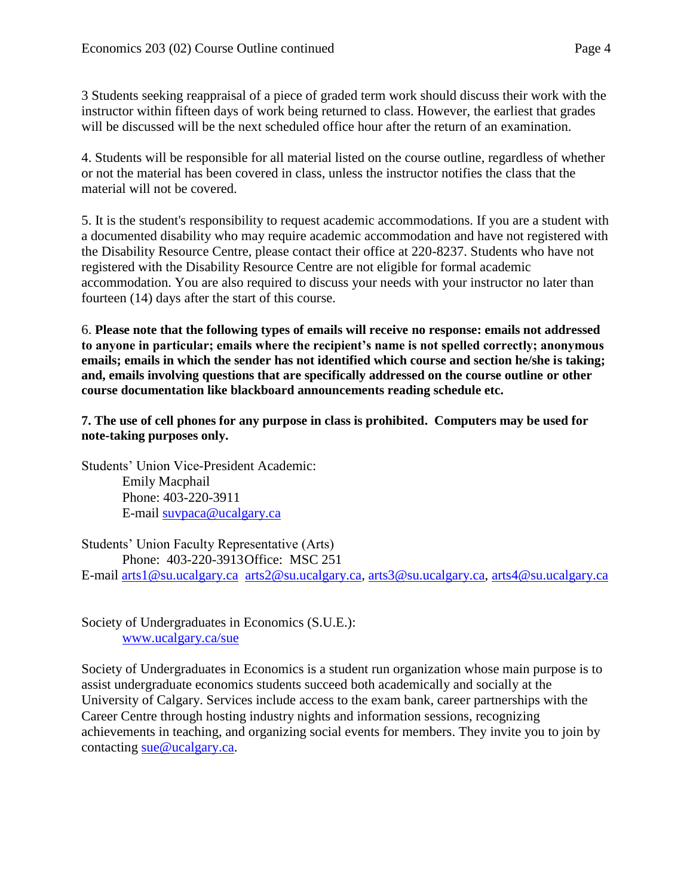3 Students seeking reappraisal of a piece of graded term work should discuss their work with the instructor within fifteen days of work being returned to class. However, the earliest that grades will be discussed will be the next scheduled office hour after the return of an examination.

4. Students will be responsible for all material listed on the course outline, regardless of whether or not the material has been covered in class, unless the instructor notifies the class that the material will not be covered.

5. It is the student's responsibility to request academic accommodations. If you are a student with a documented disability who may require academic accommodation and have not registered with the Disability Resource Centre, please contact their office at 220-8237. Students who have not registered with the Disability Resource Centre are not eligible for formal academic accommodation. You are also required to discuss your needs with your instructor no later than fourteen (14) days after the start of this course.

6. **Please note that the following types of emails will receive no response: emails not addressed to anyone in particular; emails where the recipient's name is not spelled correctly; anonymous emails; emails in which the sender has not identified which course and section he/she is taking; and, emails involving questions that are specifically addressed on the course outline or other course documentation like blackboard announcements reading schedule etc.**

**7. The use of cell phones for any purpose in class is prohibited. Computers may be used for note-taking purposes only.**

Students' Union Vice-President Academic: Emily Macphail Phone: 403-220-3911 E-mail [suvpaca@ucalgary.ca](mailto:subpaca@ucalgary.ca)

Students' Union Faculty Representative (Arts) Phone: 403-220-3913Office: MSC 251 E-mail [arts1@su.ucalgary.ca](mailto:arts1@su.ucalgary.ca) [arts2@su.ucalgary.ca,](mailto:arts2@su.ucalgary.ca) [arts3@su.ucalgary.ca,](mailto:arts3@su.ucalgary.ca) [arts4@su.ucalgary.ca](mailto:arts4@su.ucalgary.ca)

Society of Undergraduates in Economics (S.U.E.): [www.ucalgary.ca/sue](http://www.fp.ucalgary.ca/econ)

Society of Undergraduates in Economics is a student run organization whose main purpose is to assist undergraduate economics students succeed both academically and socially at the University of Calgary. Services include access to the exam bank, career partnerships with the Career Centre through hosting industry nights and information sessions, recognizing achievements in teaching, and organizing social events for members. They invite you to join by contacting [sue@ucalgary.ca.](mailto:sue@ucalgary.ca)